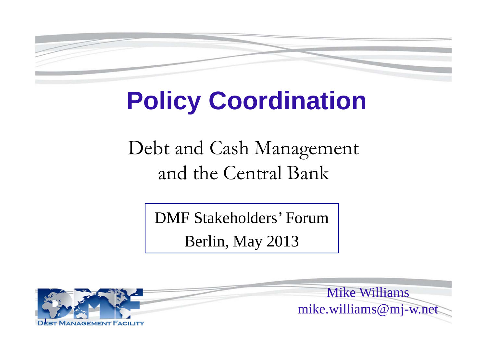

## **Policy Coordination**

Debt and Cash Management and the Central Bank

DMF Stakeholders' Forum

Berlin, May 2013

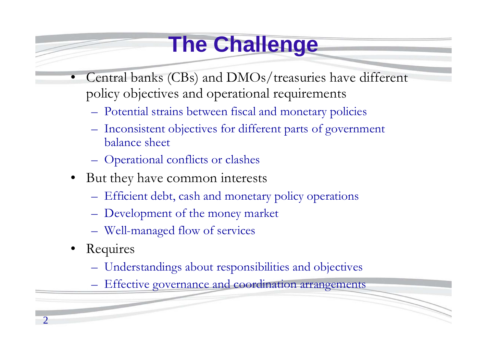### **The Challenge**

- • Central banks (CBs) and DMOs/treasuries have different policy objectives and operational requirements
	- Potential strains between fiscal and monetary policies
	- Inconsistent objectives for different parts of government balance sheet
	- Operational conflicts or clashes
- But they have common interests
	- Efficient debt, cash and monetary policy operations
	- Development of the money market
	- Well-managed flow of services
- Requires
	- Understandings about responsibilities and objectives
	- Effective governance and coordination arrangements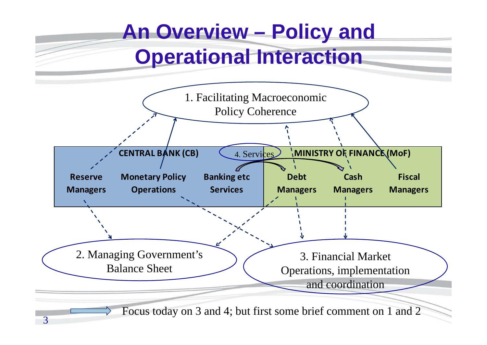### **An Overview – Policy and Operational Interaction**

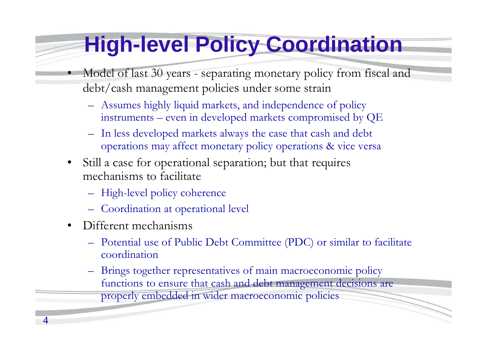#### **High-level Policy Coordination**

- Model of last 30 years separating monetary policy from fiscal and debt/cash management policies under some strain
	- Assumes highly liquid markets, and independence of policy instruments – even in developed markets compromised by QE
	- – In less developed markets always the case that cash and debt operations may affect monetary policy operations & vice versa
- • Still a case for operational separation; but that requires mechanisms to facilitate
	- High-level policy coherence
	- Coordination at operational level
- •Different mechanisms

4

•

- Potential use of Public Debt Committee (PDC) or similar to facilitate coordination
- – Brings together representatives of main macroeconomic policy functions to ensure that cash and debt management decisions are properly embedded in wider macroeconomic policies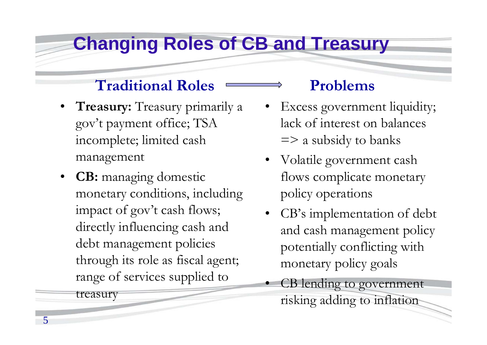#### **Changing Roles of CB and Treasury**

#### **Traditional Roles**

- **Treasury:** Treasury primarily a gov't payment office; TSA incomplete; limited cash management
- **CB:** managing domestic monetary conditions, including impact of gov't cash flows; directly influencing cash and debt management policies through its role as fiscal agent; range of services supplied to

treasury

#### **Problems**

- • Excess government liquidity; lack of interest on balances  $\Rightarrow$  a subsidy to banks
- Volatile government cash flows complicate monetary policy operations
- CB's implementation of debt and cash management policy potentially conflicting with monetary policy goals
- • CB lending to government risking adding to inflation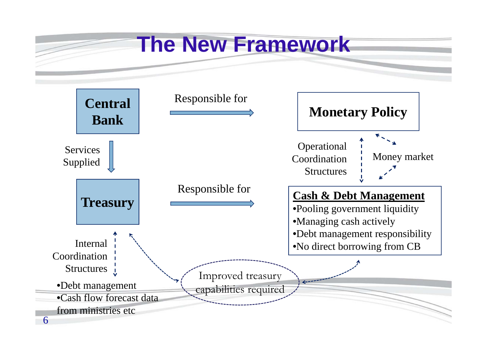# **The New Framework**

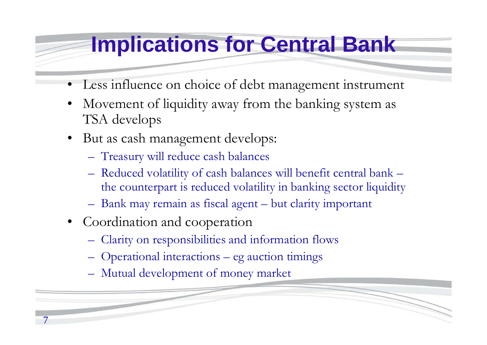#### **Implications for Central Bank**

- •Less influence on choice of debt management instrument
- • Movement of liquidity away from the banking system as TSA develops
- • But as cash management develops:
	- Treasury will reduce cash balances
	- Reduced volatility of cash balances will benefit central bank the counterpart is reduced volatility in banking sector liquidity
	- Bank may remain as fiscal agent but clarity important
- •Coordination and cooperation

7

- Clarity on responsibilities and information flows
- Operational interactions eg auction timings
- Mutual development of money market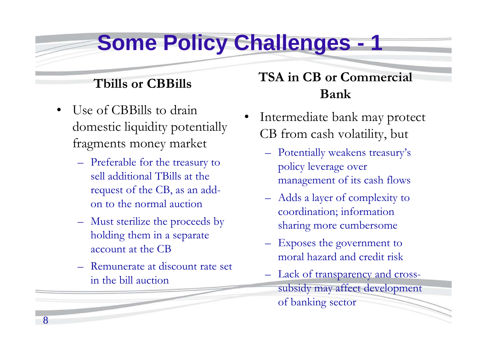### **Some Policy Challenges -**

#### **Tbills or CBBills**

- • Use of CBBills to drain domestic liquidity potentially fragments money market
	- Preferable for the treasury to sell additional TBills at the request of the CB, as an addon to the normal auction
	- Must sterilize the proceeds by holding them in a separate account at the CB
	- Remunerate at discount rate set in the bill auction

#### **TSA in CB or Commercial Bank**

- • Intermediate bank may protect CB from cash volatility, but
	- – Potentially weakens treasury's policy leverage over management of its cash flows
	- – Adds a layer of complexity to coordination; information sharing more cumbersome
	- – Exposes the government to moral hazard and credit risk
	- $\mathcal{L}_{\mathcal{A}}$  Lack of transparency and crosssubsidy may affect development of banking sector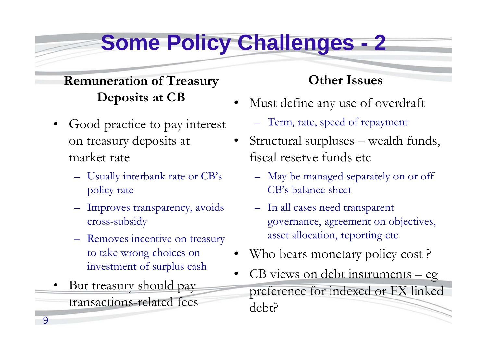### **Some Policy Challenges - 2**

#### **Remuneration of Treasury Deposits at CB**

- $\bullet$  Good practice to pay interest on treasury deposits at market rate
	- Usually interbank rate or CB's policy rate
	- Improves transparency, avoids cross-subsidy
	- Removes incentive on treasury to take wrong choices on investment of surplus cash
- • But treasury should pay transactions-related fees

9

#### **Other Issues**

- • Must define any use of overdraft
	- Term, rate, speed of repayment
- • Structural surpluses – wealth funds, fiscal reserve funds etc
	- – May be managed separately on or off CB's balance sheet
	- – In all cases need transparent governance, agreement on objectives, asset allocation, reporting etc
- •Who bears monetary policy cost ?
- • CB views on debt instruments – eg preference for indexed or FX linked debt?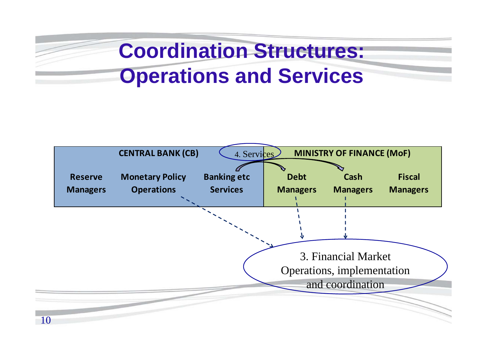### **Coordination Structures: Operations and Services**

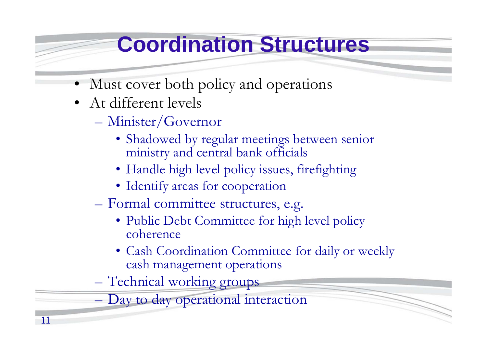#### **Coordination Structures**

- Must cover both policy and operations
- At different levels

11

- Minister/Governor
	- Shadowed by regular meetings between senior ministry and central bank officials
	- Handle high level policy issues, firefighting
	- Identify areas for cooperation
- Formal committee structures, e.g.
	- Public Debt Committee for high level policy coherence
	- Cash Coordination Committee for daily or weekly cash management operations
- Technical working groups

Day to day operational interaction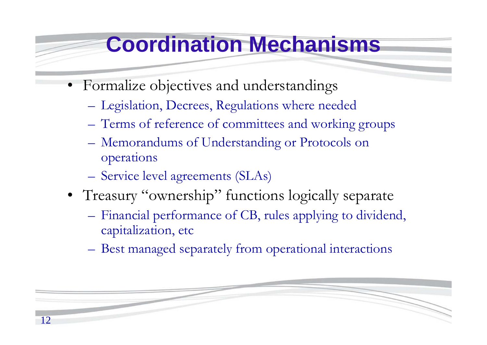#### **Coordination Mechanisms**

- • Formalize objectives and understandings
	- Legislation, Decrees, Regulations where needed
	- Terms of reference of committees and working groups
	- Memorandums of Understanding or Protocols on operations
	- Service level agreements (SLAs)
- Treasury "ownership" functions logically separate
	- Financial performance of CB, rules applying to dividend, capitalization, etc
	- Best managed separately from operational interactions

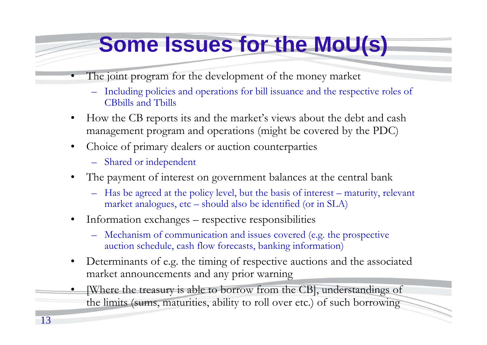### **Some Issues for the MoU(s)**

- The joint program for the development of the money market
	- Including policies and operations for bill issuance and the respective roles of CBbills and Tbills
- • How the CB reports its and the market's views about the debt and cash management program and operations (might be covered by the PDC)
- • Choice of primary dealers or auction counterparties
	- Shared or independent
- • The payment of interest on government balances at the central bank
	- Has be agreed at the policy level, but the basis of interest maturity, relevant market analogues, etc – should also be identified (or in SLA)
- • Information exchanges – respective responsibilities
	- Mechanism of communication and issues covered (e.g. the prospective auction schedule, cash flow forecasts, banking information)
- $\bullet$  Determinants of e.g. the timing of respective auctions and the associated market announcements and any prior warning
- • [Where the treasury is able to borrow from the CB], understandings of the limits (sums, maturities, ability to roll over etc.) of such borrowing

•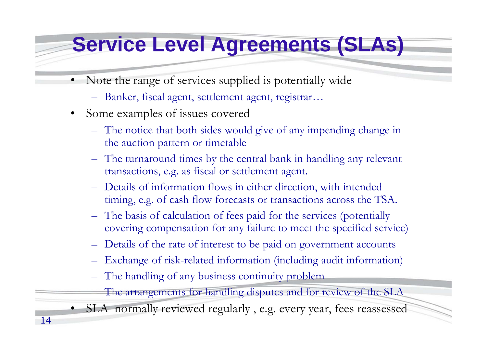#### **Service Level Agreements (SLAs)**

- • Note the range of services supplied is potentially wide
	- Banker, fiscal agent, settlement agent, registrar…
- Some examples of issues covered

14

- The notice that both sides would give of any impending change in the auction pattern or timetable
- The turnaround times by the central bank in handling any relevant transactions, e.g. as fiscal or settlement agent.
- Details of information flows in either direction, with intended timing, e.g. of cash flow forecasts or transactions across the TSA.
- The basis of calculation of fees paid for the services (potentially covering compensation for any failure to meet the specified service)
- Details of the rate of interest to be paid on government accounts
- Exchange of risk-related information (including audit information)
- The handling of any business continuity problem
	- The arrangements for handling disputes and for review of the SLA
- SLA normally reviewed regularly , e.g. every year, fees reassessed